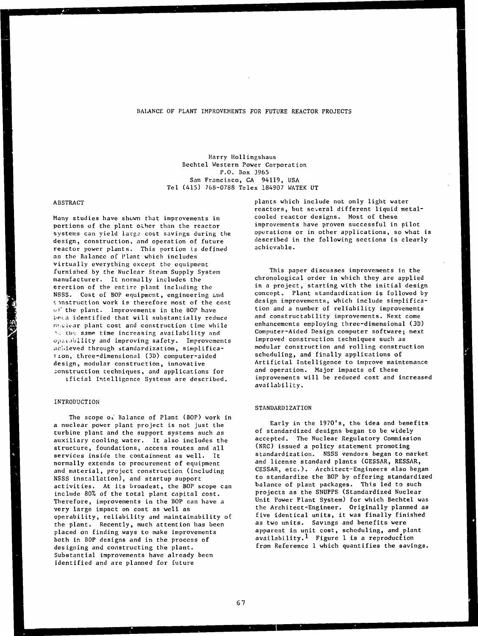## BALANCE OF PLANT IMPROVEMENTS FOR FUTURE REACTOR PROJECTS

Harry Hollingshaus Bechtel Western Power Corporation P.O. Box 3965 San Francisco, CA 94119, USA Tel (415) 768-0788 Telex 184907 WATEK UT

#### ABSTRACT

Many studies have shewn that improvements in portions of the plant oLher than the reactor systems can yield large cost savings during the design, construction, and operation of future reactor power plants. This portion is defined as the Balance of Plant which includes virtually everything except the equipment furnished by the Nuclear Steam Supply System manufacturer. It normally includes the erection of the entire plant including the NSSS. Cost of BOP equipment, engineering and construction work is therefore most of the cost of the plant. Improvements in the BOP have bein identified that will substantially reduce nwelear plant cost and construction time while ' the same time increasing availability and oparability and improving safety. Improvements achieved through standardization, simplification, three-dimensional (3D) computer-aided design, modular construction, innovative construction techniques, and applications for lficial Intelligence Systems are described.

## INTRODUCTION

The scope Oi Balance of Plant (BOP) work in a nuclear power plant project is not just the turbine plant and the support systems such as auxiliary cooling water. It also includes the structure, foundations, access routes and all services inside the containment as well. It normally extends to procurement of equipment and material, project construction (including NSSS installation), and startup support activities. At its broadest, the BOP scope can include 80% of the total plant capital cost. Therefore, improvements in the BOP can have a very large impact on cost as well as operability, reliability and maintainability of the plant. Recently, much attention has been placed on finding ways to make improvements both in BOP designs and in the process of designing and constructing the plant. Substantial improvements have already been identified and are planned for future

plants which include not only light water reactors, but several different liquid metalcooled reactor designs. Most of these improvements have proven successful in pilot operations or in other applications, so what is described in the following sections is clearly achievable.

This paper discusses improvements in the chronological order in which they are applied in a project, starting with the initial design concept. Plant standardization is followed by design improvements, which include simplification and a number of reliability improvements and constructability improvements. Next come enhancements employing three-dimensional (3D) Computer-Aided Design computer software; next improved construction techniques such as modular construction and rolling construction scheduling, and finally applications of Artificial Intelligence to improve maintenance and operation. Major impacts of these improvements will be reduced cost and increased availability.

## STANDARDIZATION

Early in the 1970's, the idea and benefits of standardized designs began to be widely accepted. The Nuclear Regulatory Commission (NRC) issued a policy statement promoting standardization. NSSS vendors began to market and license standard plants (GESSAR, RESSAR, CESSAR, etc.). Architect-Engineers also began to standardize the BOP by offering standardized balance of plant packages. This led to such projects as the SNUPPS (Standardized Nuclear Unit Power Plant System) for which Bechtel was the Architect-Engineer. Originally planned as five identical units, it was finally finished as two units. Savings and benefits were apparent in unit cost, scheduling, and plant availability.1 Figure 1 is a reproduction from Reference 1 which quantifies the savings.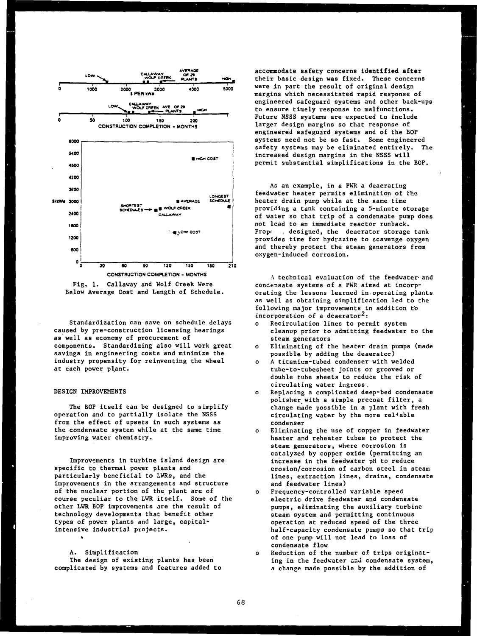

Fig. 1. Callaway and Wolf Creek Were Below Average Cost and Length of Schedule.

Standardization can save on schedule delays caused by pre-construction licensing hearings as well as economy of procurement of components. Standardizing also will work great savings in engineering costs and minimize the industry propensity for reinventing the wheel at each power plant.

# DESIGN IMPROVEMENTS

The BOP itself can be designed to simplify operation and to partially isolate the NSSS from the effect of upsets in such systems as the condensate system while at the same time improving water chemistry.

Improvements in turbine island design are specific to thermal power plants and particularly beneficial to LWRs, and the improvements in the arrangements and structure of the nuclear portion of the plant are of course peculiar to the LWR itself. Some of the other LWR BOP improvements are the result of technology developments that benefit other types of power plants and large, capitalintensive industrial projects.

# A. Simplification

The design of existing plants has been complicated by systems and features added to accommodate safety concerns **identified after** their basic design was fixed. These concerns were in part the result of original design margins which necessitated rapid response of engineered safeguard systems and other back-ups to ensure timely response to malfunctions. Future NSSS systems are expected to include larger design margins so that response of engineered safeguard systems and of the BOP systems need not be so fast. Some engineered safety systems may be eliminated entirely. The increased design margins in the NSSS will permit substantial simplifications in the BOP.

As an example, in a PWR a deaerating feedwater heater permits elimination of the heater drain pump while at the same time providing a tank containing a 5-minute storage of water so that trip of a condensate pump does not lead to an immediate reactor runback. Prope . designed, the deaerator storage tank provides time for hydrazine to scavenge oxygen and thereby protect the steam generators from oxygen-induced corrosion.

A technical evaluation of the feedwater and condensate systems of a PWR aimed at incorporating the lessons learned in operating plants as well as obtaining simplification led to the following major improvements in addition to incorporation of a deaerator<sup>2</sup>:

- o Recirculation lines to permit system cleanup prior to admitting feedwater to the steam generators
- o Eliminating of the heater drain pumps (made possible by adding the deaerator)
- o A titanium-tubed condenser with welded tube-to-tubesheet joints or grooved or double tube sheets to reduce the risk of circulating water ingress .
- o Replacing a complicated deep-bed condensate polisher with a simple precoat filter, a change made possible in a plant with fresh circulating water by the more reliable condenser
- Eliminating the use of copper in feedwater heater and reheater tubes to protect the steam generators, where corrosion is catalyzed by copper oxide (permitting an increase in the feedwater pH to reduce erosion/corrosion of carbon steel in steam lines, extraction lines, drains, condensate and feedwater lines)
- o Frequency-controlled variable speed electric drive feedwater and condensate punps, eliminating the auxiliary turbine steam system and permitting continuous operation at reduced speed of the three half-capacity condensate pumps so that trip of one pump will not lead to loss of condensate flow
- o Reduction of the number of trips originating in the feedwater snd condensate system, a change made possible by the addition of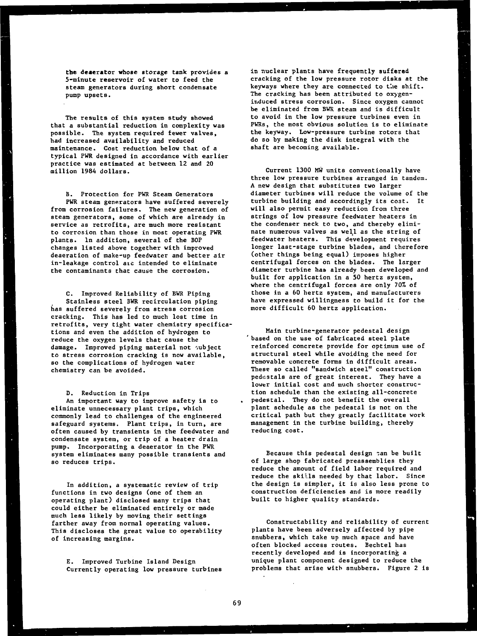**the deaerator whose storage tank provides a 5-minute reservoir of water to feed the steam generators during short condensate pump upsets.**

**The results of this system study showed that a substantial reduction in complexity was possible. The system required fewer valves, had increased availability and reduced maintenance. Cost reduction below that of a typical PWR designed in accordance with earlier practice was estimated at between 12 and 20 million 1984 dollars.**

**B. Protection for PWR Steam Generators PWR steam generators have suffered severely from corrosion failures. The new generation of steam generators, some of which are already in service as retrofits, are much more resistant to corrosion than those in most operating PWR plants. In addition, several of the BOP changes listed above together with improved deaeration of make-up feedwater and better air in-leakage control aic intended to eliminate the contaminants that cause the corrosion.**

**C. Improved Reliability of BWR Piping Stainless steel BWR recirculation piping has suffered severely from stress corrosion cracking. This has led to much lost time in retrofits, very tight water chemistry specifications and even the addition of hydrogen to reduce the oxygen levels that cause the damage. Improved piping material not subject to stress corrosion cracking is now available, so the complications of hydrogen water chemistry can be avoided.**

**D. Reduction in Trips**

**An important way to improve safety is to eliminate unnecessary plant trips, which commonly lead to challenges of the engineered safeguard systems. Plant trips, in turn, are often caused by transients in the feedwater and condensate system, or trip of a heater drain pump. Incorporating a deaerator in the PWR system eliminates many possible transients and so reduces trips.**

**In addition, a systematic review of trip functions in two designs (one of them an operating plant) disclosed many trips that could either be eliminated entirely or made much less likely by moving their settings farther away from normal operating values. This discloses the great value to operability of increasing margins.**

**E. Improved Turbine Island Design Currently operating low pressure turbines** **in nuclear plants have frequently suffered cracking of the low pressure rotor disks at the** keyways where they are connected to the shift. **The cracking has been attributed to oxygeninduced stress corrosion. Since oxygen cannot be eliminated from BWR steam and is difficult to avoid in the low pressure turbines even in PWRs, the most obvious solution is to eliminate the keyway. Low-pressure turbine rotors that do so by making the disk integral with the shaft are becoming available.**

**Current 1300 MW units conventionally have three low pressure turbines arranged in tandem. A new design that substitutes two larger diameter turbines will reduce the volume of the turbine building and accordingly its cost. It will also permit easy reduction from three strings of low pressure feedwater heaters in the condenser neck to two, and thereby eliminate numerous valves as well as the string of feedwater heaters. This development requires longer last-stage turbine blades, and therefore (other things being equal) imposes higher centrifugal forces on the blades. The larger diameter turbine has already been developed and built for application in a 50 hertz system, where the centrifugal forces are only 70% of those in a 60 hertz system, and manufacturers have expressed willingness to build it for the more difficult 60 hertz application.**

**Main turbine-generator pedestal design based on the use of fabricated steel plate reinforced concrete provide for optimum use of structural steel while avoiding the need for removable concrete forms in difficult areas. These so called "sandwich steel" construction pedestals are of great interest. They have a lower initial cost and much shorter construction schedule than the existing all-concrete pedestal. They do not benefit the overall plant schedule as the pedestal is not on the critical path but they greatly facilitate work management in the turbine building, thereby reducing cost.**

**Because this pedestal design ~an be built of large shop fabricated preassemblies they reduce the amount of field labor required and reduce the skills needed by that labor. Since the design is simpler, it is also less prone to construction deficiencies and is more readily built to higher quality standards.**

**Constructability and reliability of current plants have been adversely affected by pipe snubbers, which take up much space and have often blocked access routes. Bechtel has recently developed and is incorporating a unique plant component designed to reduce the problems that arise with snubbers. Figure 2 is**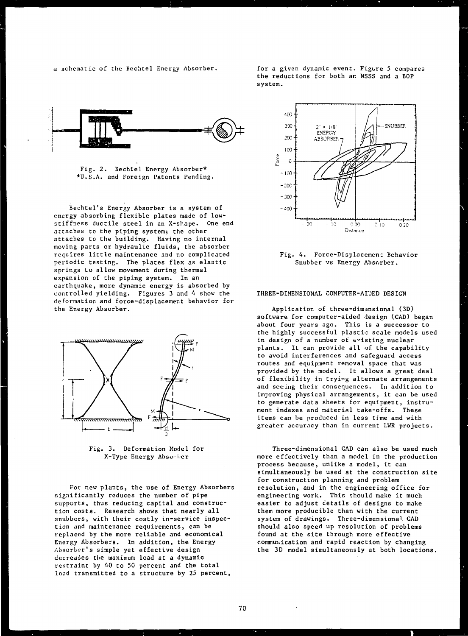a schematic of the Bechtel Energy Absorber. for a given dynamic event. Figure 5 compares the reductions for both an NSSS and a BOP system.





Bechtel's Energy Absorber is a system of energy absorbing flexible plates made of lowstiffness ductile steel in an X-shape. One end attaches to the piping system; the other attaches to the building. Having no internal moving parts or hydraulic fluids, the absorber requires little maintenance and no complicated periodic testing. The plates flex as elastic springs to allow movement during thermal expansion of the piping system. In an earthquake, more dynamic energy is absorbed by controlled yielding. Figures 3 and 4 show the deformation and force-displacement behavior for the Energy Absorber.



Fig. 3. Deformation Model for X-Type Energy Absorber

For new plants, the use of Energy Absorbers significantly reduces the number of pipe supports, thus reducing capital and construction costs. Research shows that nearly all snubbers, with their costly in-service inspection and maintenance requirements, can be replaced by the more reliable and economical Energy Absorbers. In addition, the Energy Absorber's simple yet effective design decreases the maximum load at a dynamic restraint by 40 to 50 percent and the total load transmitted to a structure by 25 percent,



Fig. 4. Force-Displacemen: Behavior Snubber vs Energy Absorber.

## THREE-DIMENSIONAL COMPUTER-AIOED DESIGN

Application of three-dimensional (3D) software for computer-aided design (CAD) began about four years ago. This is a successor to the highly successful plastic scale models used in design of a number of existing nuclear plants. It can provide all of the capability to avoid interferences and safeguard access routes and equipment removal space that was provided by the model. It allows a great deal of flexibility in trying alternate arrangements and seeing their consequences. In addition to improving physical arrangements, it can be used to generate data sheets for equipment, instrument indexes and material take-offs. These items can be produced in less time and with greater accuracy than in current LWR projects.

Three-dimensional CAD can also be used much more effectively than a model in the production process because, unlike a model, it can simultaneously be used at the construction site for construction planning and problem resolution, and in the engineering office for engineering work. This should make it much easier to adjust details of designs to make them more producible than with the current system of drawings. Three-dimensional. CAD should also speed up resolution of problems found at the site through more effective communication and rapid reaction by changing the 3D model simultaneously at both locations.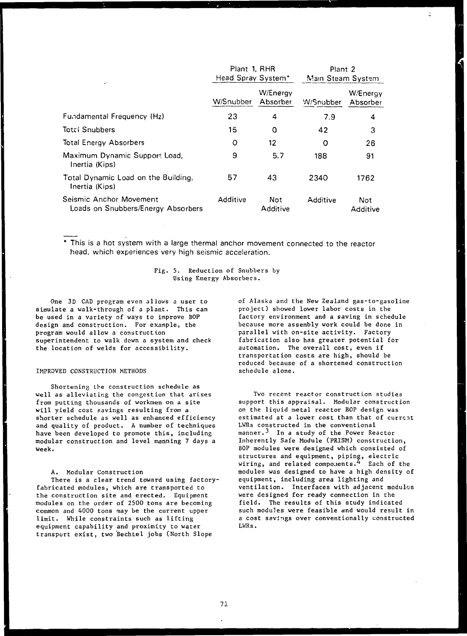| ÷.                                                            | Plant 1, RHR<br>Head Spray System* |                      | Plant 2<br>Main Steam System |                        |
|---------------------------------------------------------------|------------------------------------|----------------------|------------------------------|------------------------|
|                                                               | W/Snubber                          | W/Energy<br>Absorber | W/Snubber                    | W/Energy<br>Absorber   |
| <b>Fundamental Frequency (Hz)</b>                             | 23                                 | 4                    | 7.9                          | 4                      |
| <b>Total Snubbers</b>                                         | 15                                 | O                    | 42                           | 3                      |
| <b>Total Energy Absorbers</b>                                 | O                                  | 12                   | O                            | 26                     |
| Maximum Dynamic Support Load,<br>Inertia (Kips)               | 9                                  | 5.7                  | 188                          | 91                     |
| Total Dynamic Load on the Building,<br>Inertia (Kips)         | 57                                 | 43                   | 2340                         | 1762                   |
| Seismic Anchor Movement<br>Loads on Snubbers/Energy Absorbers | Additive                           | Not<br>Additive      | Additive                     | <b>Not</b><br>Additive |

This is a hot system with a large thermal anchor movement connected to the reactor head, which experiences very high seismic acceleration.

> Fig. 5. Reduction of Snubbers by Using Energy Absorbers.

One 3D CAD program even allovs a user to simulate a walk-through of a plant. This can be used in a variety of ways to improve BOP design and construction. For example, the program would allow a construction superintendent to walk down a system and check the location of welds for accessibility.

#### IMPROVED CONSTRUCTION METHODS

Shortening the construction schedule as well as alleviating the congestion that arises from putting thousands of workmen on a site will yield cost savings resulting from a shorter schedule as well as enhanced efficiency and quality of product. A number of techniques have been developed to promote this, including modular construction and level manning 7 days a week.

#### A. Modular Construction

There is a clear trend toward using factoryfabricated modules, which are transported to the construction site and erected. Equipment modules on the order of 2500 tons are becoming common and 4000 tons may be the current upper limit. While constraints such as lifting equipment capability and proximity to water transport exist, two Bechtel jobs (North Slope

of Alaska and the New Zealand gas-to-gasoline project) showed lower labor costs in the factory environment and a saving in schedule because more assembly work could be done in parallel with on-site activity. Factory fabrication also has greater potential for automation. The overall cost, even if transportation costs are high, should be reduced because of a shortened construction schedule alone.

Two recent reactor construction studies support this appraisal. Modular construction on the liquid metal reactor BOP design was estimated at a lower cost than that of current LWRs constructed in the conventional manner.<sup>3</sup> In a study of the Power Reactor Inherently Safe Module (PRISM) construction, BOP modules were designed which consisted of structures and equipment, piping, electric wiring, and related components.  $4$  Each of the modules was designed to have a high density of equipment, including area lighting and ventilation. Interfaces with adjacent modules were designed for ready connection in the field. The results of this study indicated such modules were feasible and would result in a cost savings over conventionally constructed LWRs.